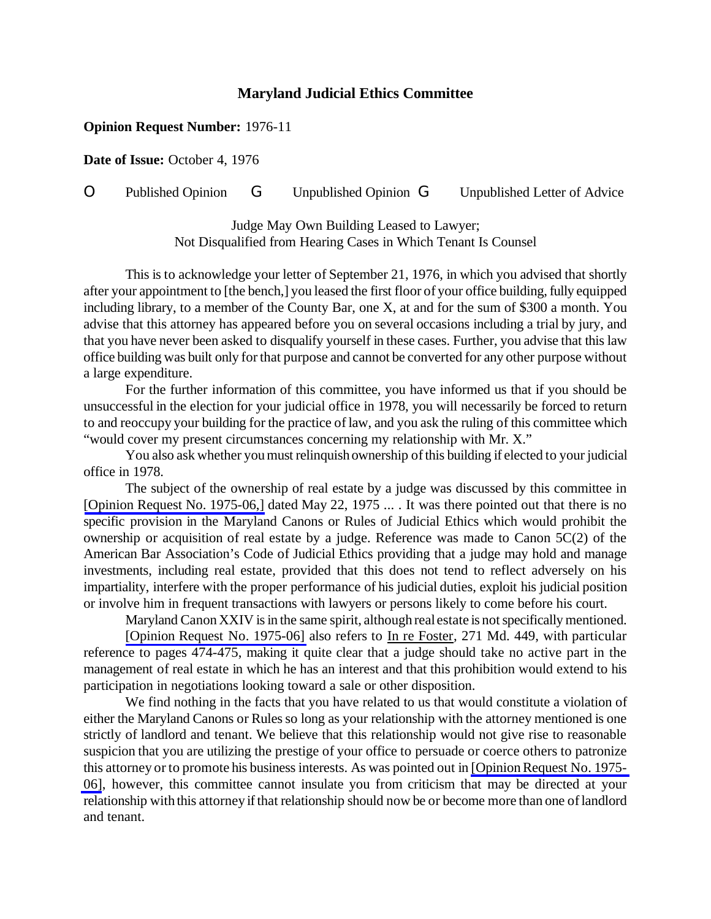## **Maryland Judicial Ethics Committee**

## **Opinion Request Number:** 1976-11

**Date of Issue:** October 4, 1976

O Published Opinion G Unpublished Opinion G Unpublished Letter of Advice

Judge May Own Building Leased to Lawyer; Not Disqualified from Hearing Cases in Which Tenant Is Counsel

This is to acknowledge your letter of September 21, 1976, in which you advised that shortly after your appointment to [the bench,] you leased the first floor of your office building, fully equipped including library, to a member of the County Bar, one X, at and for the sum of \$300 a month. You advise that this attorney has appeared before you on several occasions including a trial by jury, and that you have never been asked to disqualify yourself in these cases. Further, you advise that this law office building was built only forthat purpose and cannot be converted for any other purpose without a large expenditure.

For the further information of this committee, you have informed us that if you should be unsuccessful in the election for your judicial office in 1978, you will necessarily be forced to return to and reoccupy your building for the practice of law, and you ask the ruling of this committee which "would cover my present circumstances concerning my relationship with Mr. X."

You also ask whether you must relinquish ownership of this building if elected to your judicial office in 1978.

The subject of the ownership of real estate by a judge was discussed by this committee in [\[Opinion Request No. 1975-06,\]](http://www.mdcourts.gov/ethics/pdfs/1975-06.pdf) dated May 22, 1975 ... . It was there pointed out that there is no specific provision in the Maryland Canons or Rules of Judicial Ethics which would prohibit the ownership or acquisition of real estate by a judge. Reference was made to Canon 5C(2) of the American Bar Association's Code of Judicial Ethics providing that a judge may hold and manage investments, including real estate, provided that this does not tend to reflect adversely on his impartiality, interfere with the proper performance of his judicial duties, exploit his judicial position or involve him in frequent transactions with lawyers or persons likely to come before his court.

Maryland Canon XXIV is in the same spirit, although real estate is not specifically mentioned.

[Opinion Request No. [1975-06\]](http://www.mdcourts.gov/ethics/pdfs/1975-06.pdf) also refers to In re Foster, 271 Md. 449, with particular reference to pages 474-475, making it quite clear that a judge should take no active part in the management of real estate in which he has an interest and that this prohibition would extend to his participation in negotiations looking toward a sale or other disposition.

We find nothing in the facts that you have related to us that would constitute a violation of either the Maryland Canons or Rules so long as your relationship with the attorney mentioned is one strictly of landlord and tenant. We believe that this relationship would not give rise to reasonable suspicion that you are utilizing the prestige of your office to persuade or coerce others to patronize this attorney or to promote his business interests. As was pointed out in [Opinion Request No. 1975-[06\]](http://www.mdcourts.gov/ethics/pdfs/1975-06.pdf), however, this committee cannot insulate you from criticism that may be directed at your relationship with this attorney if that relationship should now be or become more than one of landlord and tenant.